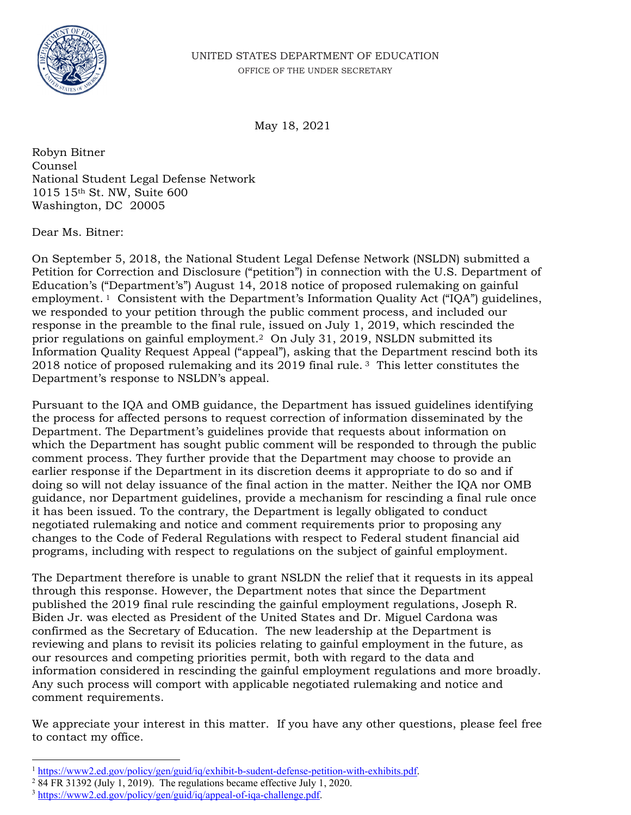

May 18, 2021

Robyn Bitner Counsel National Student Legal Defense Network 1015 15th St. NW, Suite 600 Washington, DC 20005

Dear Ms. Bitner:

Department's response to NSLDN's appeal. On September 5, 2018, the National Student Legal Defense Network (NSLDN) submitted a Petition for Correction and Disclosure ("petition") in connection with the U.S. Department of Education's ("Department's") August 14, 2018 notice of proposed rulemaking on gainful employment. 1 Consistent with the Department's Information Quality Act ("IQA") guidelines, we responded to your petition through the public comment process, and included our response in the preamble to the final rule, issued on July 1, 2019, which rescinded the prior regulations on gainful employment.2 On July 31, 2019, NSLDN submitted its Information Quality Request Appeal ("appeal"), asking that the Department rescind both its 2018 notice of proposed rulemaking and its 2019 final rule. 3 This letter constitutes the

Pursuant to the IQA and OMB guidance, the Department has issued guidelines identifying the process for affected persons to request correction of information disseminated by the Department. The Department's guidelines provide that requests about information on which the Department has sought public comment will be responded to through the public comment process. They further provide that the Department may choose to provide an earlier response if the Department in its discretion deems it appropriate to do so and if doing so will not delay issuance of the final action in the matter. Neither the IQA nor OMB guidance, nor Department guidelines, provide a mechanism for rescinding a final rule once it has been issued. To the contrary, the Department is legally obligated to conduct negotiated rulemaking and notice and comment requirements prior to proposing any changes to the Code of Federal Regulations with respect to Federal student financial aid programs, including with respect to regulations on the subject of gainful employment.

The Department therefore is unable to grant NSLDN the relief that it requests in its appeal through this response. However, the Department notes that since the Department published the 2019 final rule rescinding the gainful employment regulations, Joseph R. Biden Jr. was elected as President of the United States and Dr. Miguel Cardona was confirmed as the Secretary of Education. The new leadership at the Department is reviewing and plans to revisit its policies relating to gainful employment in the future, as our resources and competing priorities permit, both with regard to the data and information considered in rescinding the gainful employment regulations and more broadly. Any such process will comport with applicable negotiated rulemaking and notice and comment requirements.

We appreciate your interest in this matter. If you have any other questions, please feel free to contact my office.

<sup>1</sup> [https://www2.ed.gov/policy/gen/guid/iq/exhibit-b-sudent-defense-petition-with-exhibits.pdf.](https://www2.ed.gov/policy/gen/guid/iq/exhibit-b-sudent-defense-petition-with-exhibits.pdf) 2

 84 FR 31392 (July 1, 2019). The regulations became effective July 1, 2020.

<sup>3</sup> <https://www2.ed.gov/policy/gen/guid/iq/appeal-of-iqa-challenge.pdf>.